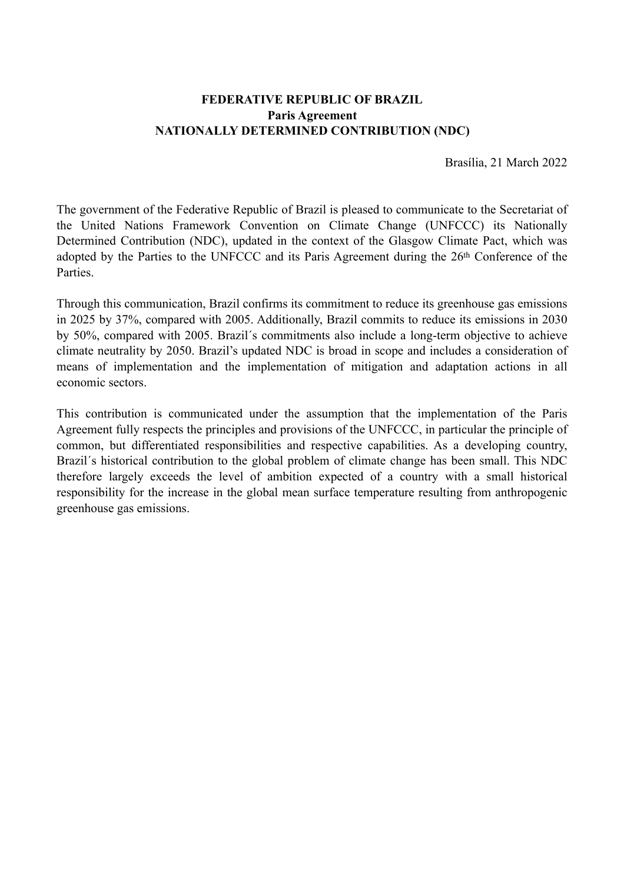### **FEDERATIVE REPUBLIC OF BRAZIL Paris Agreement NATIONALLY DETERMINED CONTRIBUTION (NDC)**

Brasília, 21 March 2022

The government of the Federative Republic of Brazil is pleased to communicate to the Secretariat of the United Nations Framework Convention on Climate Change (UNFCCC) its Nationally Determined Contribution (NDC), updated in the context of the Glasgow Climate Pact, which was adopted by the Parties to the UNFCCC and its Paris Agreement during the 26th Conference of the Parties.

Through this communication, Brazil confirms its commitment to reduce its greenhouse gas emissions in 2025 by 37%, compared with 2005. Additionally, Brazil commits to reduce its emissions in 2030 by 50%, compared with 2005. Brazil´s commitments also include a long-term objective to achieve climate neutrality by 2050. Brazil's updated NDC is broad in scope and includes a consideration of means of implementation and the implementation of mitigation and adaptation actions in all economic sectors.

This contribution is communicated under the assumption that the implementation of the Paris Agreement fully respects the principles and provisions of the UNFCCC, in particular the principle of common, but differentiated responsibilities and respective capabilities. As a developing country, Brazil´s historical contribution to the global problem of climate change has been small. This NDC therefore largely exceeds the level of ambition expected of a country with a small historical responsibility for the increase in the global mean surface temperature resulting from anthropogenic greenhouse gas emissions.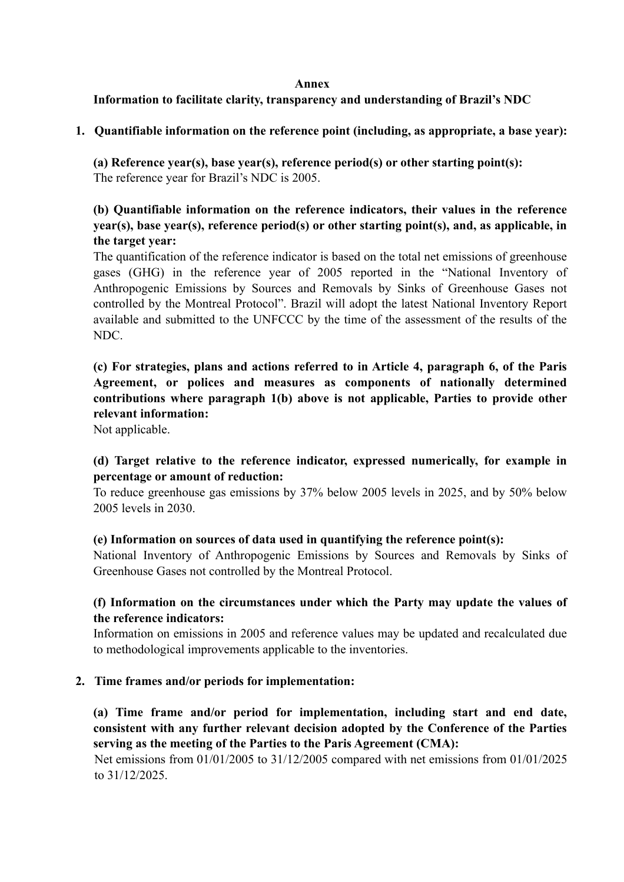#### **Annex**

### **Information to facilitate clarity, transparency and understanding of Brazil's NDC**

### **1. Quantifiable information on the reference point (including, as appropriate, a base year):**

**(a) Reference year(s), base year(s), reference period(s) or other starting point(s):**  The reference year for Brazil's NDC is 2005.

# **(b) Quantifiable information on the reference indicators, their values in the reference year(s), base year(s), reference period(s) or other starting point(s), and, as applicable, in the target year:**

The quantification of the reference indicator is based on the total net emissions of greenhouse gases (GHG) in the reference year of 2005 reported in the "National Inventory of Anthropogenic Emissions by Sources and Removals by Sinks of Greenhouse Gases not controlled by the Montreal Protocol". Brazil will adopt the latest National Inventory Report available and submitted to the UNFCCC by the time of the assessment of the results of the NDC.

# **(c) For strategies, plans and actions referred to in Article 4, paragraph 6, of the Paris Agreement, or polices and measures as components of nationally determined contributions where paragraph 1(b) above is not applicable, Parties to provide other relevant information:**

Not applicable.

# **(d) Target relative to the reference indicator, expressed numerically, for example in percentage or amount of reduction:**

To reduce greenhouse gas emissions by 37% below 2005 levels in 2025, and by 50% below 2005 levels in 2030.

#### **(e) Information on sources of data used in quantifying the reference point(s):**

National Inventory of Anthropogenic Emissions by Sources and Removals by Sinks of Greenhouse Gases not controlled by the Montreal Protocol.

### **(f) Information on the circumstances under which the Party may update the values of the reference indicators:**

Information on emissions in 2005 and reference values may be updated and recalculated due to methodological improvements applicable to the inventories.

### **2. Time frames and/or periods for implementation:**

**(a) Time frame and/or period for implementation, including start and end date, consistent with any further relevant decision adopted by the Conference of the Parties serving as the meeting of the Parties to the Paris Agreement (CMA):** 

Net emissions from 01/01/2005 to 31/12/2005 compared with net emissions from 01/01/2025 to 31/12/2025.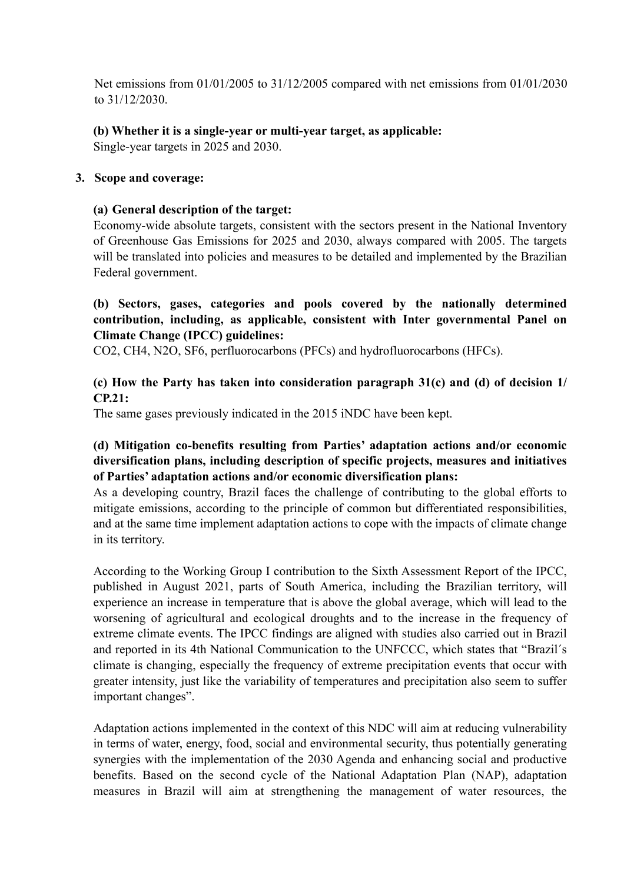Net emissions from 01/01/2005 to 31/12/2005 compared with net emissions from 01/01/2030 to 31/12/2030.

# **(b) Whether it is a single-year or multi-year target, as applicable:**

Single-year targets in 2025 and 2030.

### **3. Scope and coverage:**

### **(a) General description of the target:**

Economy-wide absolute targets, consistent with the sectors present in the National Inventory of Greenhouse Gas Emissions for 2025 and 2030, always compared with 2005. The targets will be translated into policies and measures to be detailed and implemented by the Brazilian Federal government.

# **(b) Sectors, gases, categories and pools covered by the nationally determined contribution, including, as applicable, consistent with Inter governmental Panel on Climate Change (IPCC) guidelines:**

CO2, CH4, N2O, SF6, perfluorocarbons (PFCs) and hydrofluorocarbons (HFCs).

# **(c) How the Party has taken into consideration paragraph 31(c) and (d) of decision 1/ CP.21:**

The same gases previously indicated in the 2015 iNDC have been kept.

# **(d) Mitigation co-benefits resulting from Parties' adaptation actions and/or economic diversification plans, including description of specific projects, measures and initiatives of Parties' adaptation actions and/or economic diversification plans:**

As a developing country, Brazil faces the challenge of contributing to the global efforts to mitigate emissions, according to the principle of common but differentiated responsibilities, and at the same time implement adaptation actions to cope with the impacts of climate change in its territory.

According to the Working Group I contribution to the Sixth Assessment Report of the IPCC, published in August 2021, parts of South America, including the Brazilian territory, will experience an increase in temperature that is above the global average, which will lead to the worsening of agricultural and ecological droughts and to the increase in the frequency of extreme climate events. The IPCC findings are aligned with studies also carried out in Brazil and reported in its 4th National Communication to the UNFCCC, which states that "Brazil´s climate is changing, especially the frequency of extreme precipitation events that occur with greater intensity, just like the variability of temperatures and precipitation also seem to suffer important changes".

Adaptation actions implemented in the context of this NDC will aim at reducing vulnerability in terms of water, energy, food, social and environmental security, thus potentially generating synergies with the implementation of the 2030 Agenda and enhancing social and productive benefits. Based on the second cycle of the National Adaptation Plan (NAP), adaptation measures in Brazil will aim at strengthening the management of water resources, the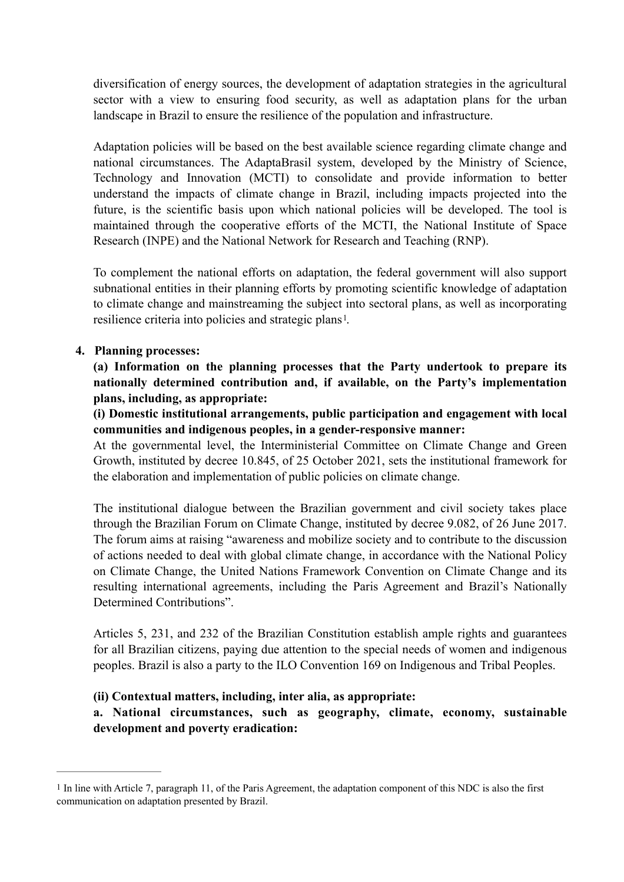diversification of energy sources, the development of adaptation strategies in the agricultural sector with a view to ensuring food security, as well as adaptation plans for the urban landscape in Brazil to ensure the resilience of the population and infrastructure.

Adaptation policies will be based on the best available science regarding climate change and national circumstances. The AdaptaBrasil system, developed by the Ministry of Science, Technology and Innovation (MCTI) to consolidate and provide information to better understand the impacts of climate change in Brazil, including impacts projected into the future, is the scientific basis upon which national policies will be developed. The tool is maintained through the cooperative efforts of the MCTI, the National Institute of Space Research (INPE) and the National Network for Research and Teaching (RNP).

<span id="page-3-1"></span>To complement the national efforts on adaptation, the federal government will also support subnational entities in their planning efforts by promoting scientific knowledge of adaptation to climate change and mainstreaming the subject into sectoral plans, as well as incorporating resilience criteria into policies and strategic plans<sup>1</sup>[.](#page-3-0)

### **4. Planning processes:**

**(a) Information on the planning processes that the Party undertook to prepare its nationally determined contribution and, if available, on the Party's implementation plans, including, as appropriate:** 

**(i) Domestic institutional arrangements, public participation and engagement with local communities and indigenous peoples, in a gender-responsive manner:** 

At the governmental level, the Interministerial Committee on Climate Change and Green Growth, instituted by decree 10.845, of 25 October 2021, sets the institutional framework for the elaboration and implementation of public policies on climate change.

The institutional dialogue between the Brazilian government and civil society takes place through the Brazilian Forum on Climate Change, instituted by decree 9.082, of 26 June 2017. The forum aims at raising "awareness and mobilize society and to contribute to the discussion of actions needed to deal with global climate change, in accordance with the National Policy on Climate Change, the United Nations Framework Convention on Climate Change and its resulting international agreements, including the Paris Agreement and Brazil's Nationally Determined Contributions".

Articles 5, 231, and 232 of the Brazilian Constitution establish ample rights and guarantees for all Brazilian citizens, paying due attention to the special needs of women and indigenous peoples. Brazil is also a party to the ILO Convention 169 on Indigenous and Tribal Peoples.

#### **(ii) Contextual matters, including, inter alia, as appropriate:**

**a. National circumstances, such as geography, climate, economy, sustainable development and poverty eradication:** 

<span id="page-3-0"></span> $<sup>1</sup>$  $<sup>1</sup>$  $<sup>1</sup>$  In line with Article 7, paragraph 11, of the Paris Agreement, the adaptation component of this NDC is also the first</sup> communication on adaptation presented by Brazil.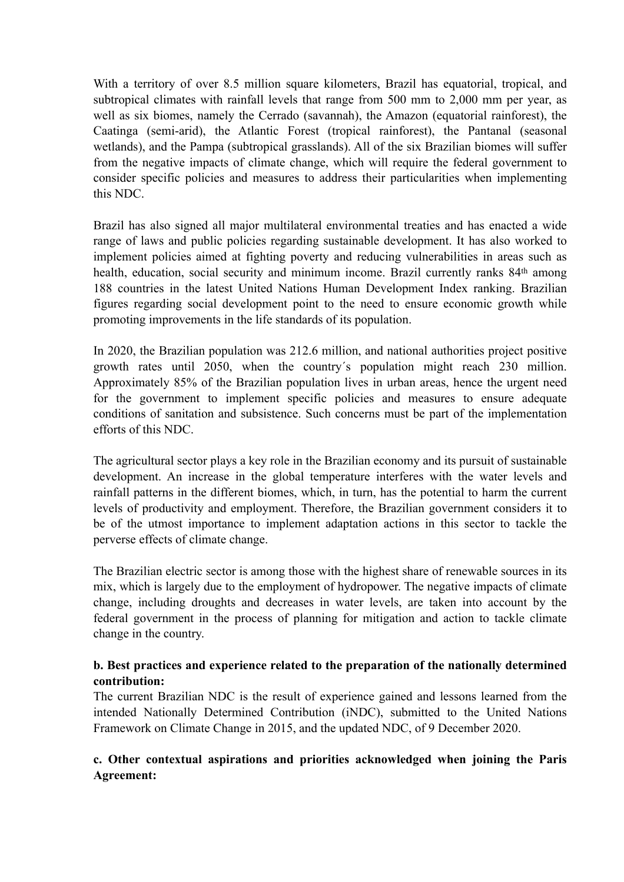With a territory of over 8.5 million square kilometers, Brazil has equatorial, tropical, and subtropical climates with rainfall levels that range from 500 mm to 2,000 mm per year, as well as six biomes, namely the Cerrado (savannah), the Amazon (equatorial rainforest), the Caatinga (semi-arid), the Atlantic Forest (tropical rainforest), the Pantanal (seasonal wetlands), and the Pampa (subtropical grasslands). All of the six Brazilian biomes will suffer from the negative impacts of climate change, which will require the federal government to consider specific policies and measures to address their particularities when implementing this NDC.

Brazil has also signed all major multilateral environmental treaties and has enacted a wide range of laws and public policies regarding sustainable development. It has also worked to implement policies aimed at fighting poverty and reducing vulnerabilities in areas such as health, education, social security and minimum income. Brazil currently ranks 84<sup>th</sup> among 188 countries in the latest United Nations Human Development Index ranking. Brazilian figures regarding social development point to the need to ensure economic growth while promoting improvements in the life standards of its population.

In 2020, the Brazilian population was 212.6 million, and national authorities project positive growth rates until 2050, when the country´s population might reach 230 million. Approximately 85% of the Brazilian population lives in urban areas, hence the urgent need for the government to implement specific policies and measures to ensure adequate conditions of sanitation and subsistence. Such concerns must be part of the implementation efforts of this NDC.

The agricultural sector plays a key role in the Brazilian economy and its pursuit of sustainable development. An increase in the global temperature interferes with the water levels and rainfall patterns in the different biomes, which, in turn, has the potential to harm the current levels of productivity and employment. Therefore, the Brazilian government considers it to be of the utmost importance to implement adaptation actions in this sector to tackle the perverse effects of climate change.

The Brazilian electric sector is among those with the highest share of renewable sources in its mix, which is largely due to the employment of hydropower. The negative impacts of climate change, including droughts and decreases in water levels, are taken into account by the federal government in the process of planning for mitigation and action to tackle climate change in the country.

# **b. Best practices and experience related to the preparation of the nationally determined contribution:**

The current Brazilian NDC is the result of experience gained and lessons learned from the intended Nationally Determined Contribution (iNDC), submitted to the United Nations Framework on Climate Change in 2015, and the updated NDC, of 9 December 2020.

# **c. Other contextual aspirations and priorities acknowledged when joining the Paris Agreement:**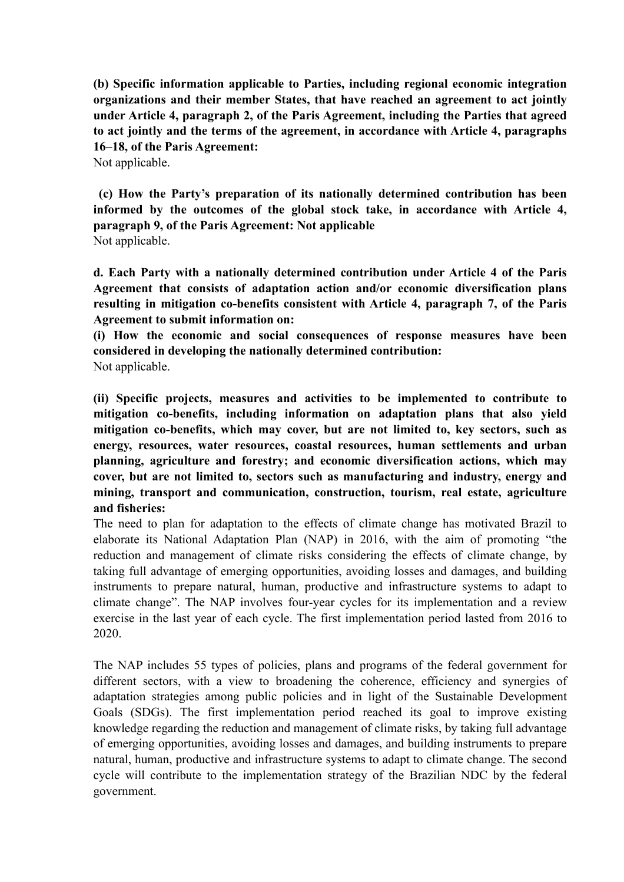**(b) Specific information applicable to Parties, including regional economic integration organizations and their member States, that have reached an agreement to act jointly under Article 4, paragraph 2, of the Paris Agreement, including the Parties that agreed to act jointly and the terms of the agreement, in accordance with Article 4, paragraphs 16–18, of the Paris Agreement:** 

Not applicable.

 **(c) How the Party's preparation of its nationally determined contribution has been informed by the outcomes of the global stock take, in accordance with Article 4, paragraph 9, of the Paris Agreement: Not applicable**  Not applicable.

**d. Each Party with a nationally determined contribution under Article 4 of the Paris Agreement that consists of adaptation action and/or economic diversification plans resulting in mitigation co-benefits consistent with Article 4, paragraph 7, of the Paris Agreement to submit information on:** 

**(i) How the economic and social consequences of response measures have been considered in developing the nationally determined contribution:**  Not applicable.

**(ii) Specific projects, measures and activities to be implemented to contribute to mitigation co-benefits, including information on adaptation plans that also yield mitigation co-benefits, which may cover, but are not limited to, key sectors, such as energy, resources, water resources, coastal resources, human settlements and urban planning, agriculture and forestry; and economic diversification actions, which may cover, but are not limited to, sectors such as manufacturing and industry, energy and mining, transport and communication, construction, tourism, real estate, agriculture and fisheries:** 

The need to plan for adaptation to the effects of climate change has motivated Brazil to elaborate its National Adaptation Plan (NAP) in 2016, with the aim of promoting "the reduction and management of climate risks considering the effects of climate change, by taking full advantage of emerging opportunities, avoiding losses and damages, and building instruments to prepare natural, human, productive and infrastructure systems to adapt to climate change". The NAP involves four-year cycles for its implementation and a review exercise in the last year of each cycle. The first implementation period lasted from 2016 to 2020.

The NAP includes 55 types of policies, plans and programs of the federal government for different sectors, with a view to broadening the coherence, efficiency and synergies of adaptation strategies among public policies and in light of the Sustainable Development Goals (SDGs). The first implementation period reached its goal to improve existing knowledge regarding the reduction and management of climate risks, by taking full advantage of emerging opportunities, avoiding losses and damages, and building instruments to prepare natural, human, productive and infrastructure systems to adapt to climate change. The second cycle will contribute to the implementation strategy of the Brazilian NDC by the federal government.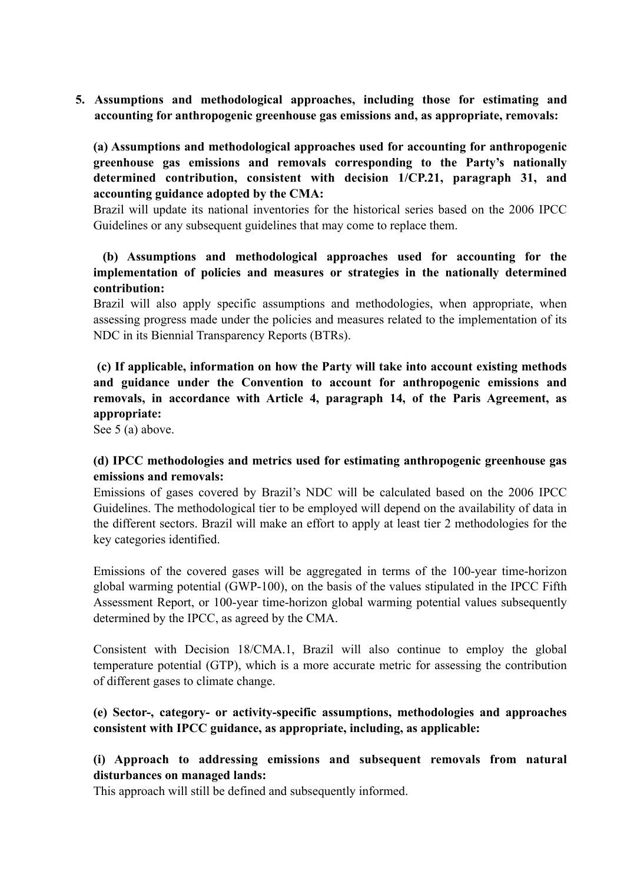**5. Assumptions and methodological approaches, including those for estimating and accounting for anthropogenic greenhouse gas emissions and, as appropriate, removals:** 

**(a) Assumptions and methodological approaches used for accounting for anthropogenic greenhouse gas emissions and removals corresponding to the Party's nationally determined contribution, consistent with decision 1/CP.21, paragraph 31, and accounting guidance adopted by the CMA:** 

Brazil will update its national inventories for the historical series based on the 2006 IPCC Guidelines or any subsequent guidelines that may come to replace them.

# **(b) Assumptions and methodological approaches used for accounting for the implementation of policies and measures or strategies in the nationally determined contribution:**

Brazil will also apply specific assumptions and methodologies, when appropriate, when assessing progress made under the policies and measures related to the implementation of its NDC in its Biennial Transparency Reports (BTRs).

 **(c) If applicable, information on how the Party will take into account existing methods and guidance under the Convention to account for anthropogenic emissions and removals, in accordance with Article 4, paragraph 14, of the Paris Agreement, as appropriate:** 

See 5 (a) above.

### **(d) IPCC methodologies and metrics used for estimating anthropogenic greenhouse gas emissions and removals:**

Emissions of gases covered by Brazil's NDC will be calculated based on the 2006 IPCC Guidelines. The methodological tier to be employed will depend on the availability of data in the different sectors. Brazil will make an effort to apply at least tier 2 methodologies for the key categories identified.

Emissions of the covered gases will be aggregated in terms of the 100-year time-horizon global warming potential (GWP-100), on the basis of the values stipulated in the IPCC Fifth Assessment Report, or 100-year time-horizon global warming potential values subsequently determined by the IPCC, as agreed by the CMA.

Consistent with Decision 18/CMA.1, Brazil will also continue to employ the global temperature potential (GTP), which is a more accurate metric for assessing the contribution of different gases to climate change.

# **(e) Sector-, category- or activity-specific assumptions, methodologies and approaches consistent with IPCC guidance, as appropriate, including, as applicable:**

# **(i) Approach to addressing emissions and subsequent removals from natural disturbances on managed lands:**

This approach will still be defined and subsequently informed.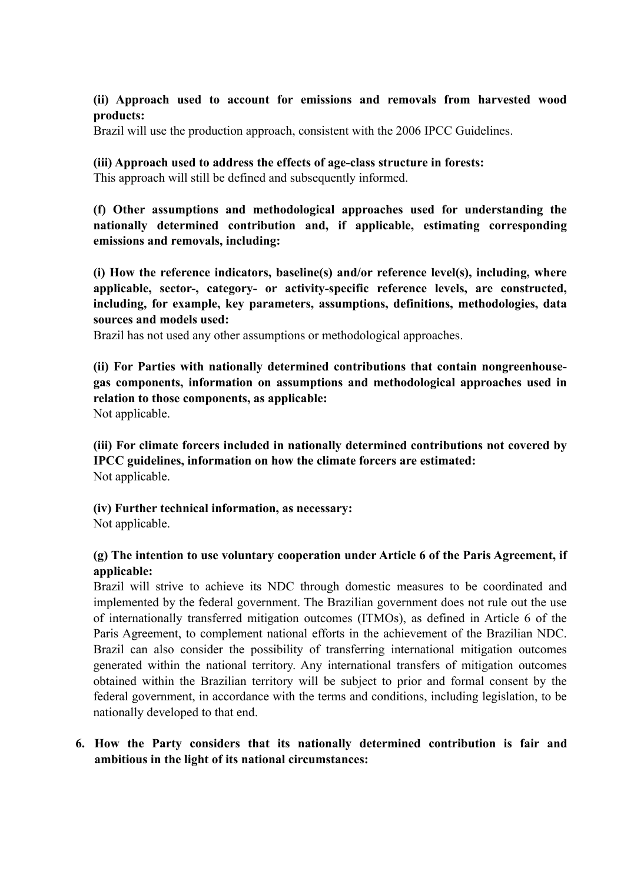### **(ii) Approach used to account for emissions and removals from harvested wood products:**

Brazil will use the production approach, consistent with the 2006 IPCC Guidelines.

# **(iii) Approach used to address the effects of age-class structure in forests:**

This approach will still be defined and subsequently informed.

**(f) Other assumptions and methodological approaches used for understanding the nationally determined contribution and, if applicable, estimating corresponding emissions and removals, including:** 

**(i) How the reference indicators, baseline(s) and/or reference level(s), including, where applicable, sector-, category- or activity-specific reference levels, are constructed, including, for example, key parameters, assumptions, definitions, methodologies, data sources and models used:** 

Brazil has not used any other assumptions or methodological approaches.

**(ii) For Parties with nationally determined contributions that contain nongreenhousegas components, information on assumptions and methodological approaches used in relation to those components, as applicable:** 

Not applicable.

**(iii) For climate forcers included in nationally determined contributions not covered by IPCC guidelines, information on how the climate forcers are estimated:**  Not applicable.

### **(iv) Further technical information, as necessary:**

Not applicable.

# **(g) The intention to use voluntary cooperation under Article 6 of the Paris Agreement, if applicable:**

Brazil will strive to achieve its NDC through domestic measures to be coordinated and implemented by the federal government. The Brazilian government does not rule out the use of internationally transferred mitigation outcomes (ITMOs), as defined in Article 6 of the Paris Agreement, to complement national efforts in the achievement of the Brazilian NDC. Brazil can also consider the possibility of transferring international mitigation outcomes generated within the national territory. Any international transfers of mitigation outcomes obtained within the Brazilian territory will be subject to prior and formal consent by the federal government, in accordance with the terms and conditions, including legislation, to be nationally developed to that end.

# **6. How the Party considers that its nationally determined contribution is fair and ambitious in the light of its national circumstances:**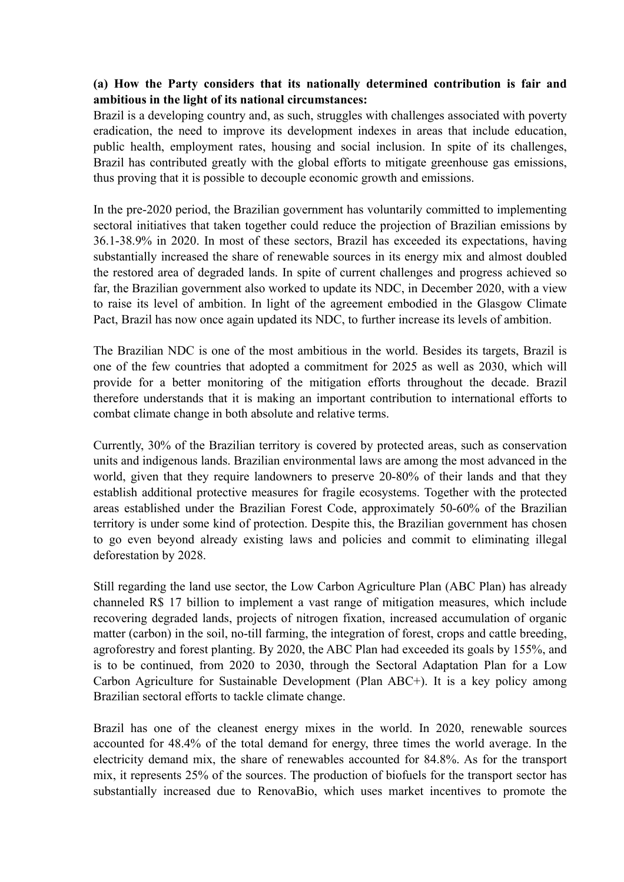# **(a) How the Party considers that its nationally determined contribution is fair and ambitious in the light of its national circumstances:**

Brazil is a developing country and, as such, struggles with challenges associated with poverty eradication, the need to improve its development indexes in areas that include education, public health, employment rates, housing and social inclusion. In spite of its challenges, Brazil has contributed greatly with the global efforts to mitigate greenhouse gas emissions, thus proving that it is possible to decouple economic growth and emissions.

In the pre-2020 period, the Brazilian government has voluntarily committed to implementing sectoral initiatives that taken together could reduce the projection of Brazilian emissions by 36.1-38.9% in 2020. In most of these sectors, Brazil has exceeded its expectations, having substantially increased the share of renewable sources in its energy mix and almost doubled the restored area of degraded lands. In spite of current challenges and progress achieved so far, the Brazilian government also worked to update its NDC, in December 2020, with a view to raise its level of ambition. In light of the agreement embodied in the Glasgow Climate Pact, Brazil has now once again updated its NDC, to further increase its levels of ambition.

The Brazilian NDC is one of the most ambitious in the world. Besides its targets, Brazil is one of the few countries that adopted a commitment for 2025 as well as 2030, which will provide for a better monitoring of the mitigation efforts throughout the decade. Brazil therefore understands that it is making an important contribution to international efforts to combat climate change in both absolute and relative terms.

Currently, 30% of the Brazilian territory is covered by protected areas, such as conservation units and indigenous lands. Brazilian environmental laws are among the most advanced in the world, given that they require landowners to preserve 20-80% of their lands and that they establish additional protective measures for fragile ecosystems. Together with the protected areas established under the Brazilian Forest Code, approximately 50-60% of the Brazilian territory is under some kind of protection. Despite this, the Brazilian government has chosen to go even beyond already existing laws and policies and commit to eliminating illegal deforestation by 2028.

Still regarding the land use sector, the Low Carbon Agriculture Plan (ABC Plan) has already channeled R\$ 17 billion to implement a vast range of mitigation measures, which include recovering degraded lands, projects of nitrogen fixation, increased accumulation of organic matter (carbon) in the soil, no-till farming, the integration of forest, crops and cattle breeding, agroforestry and forest planting. By 2020, the ABC Plan had exceeded its goals by 155%, and is to be continued, from 2020 to 2030, through the Sectoral Adaptation Plan for a Low Carbon Agriculture for Sustainable Development (Plan ABC+). It is a key policy among Brazilian sectoral efforts to tackle climate change.

Brazil has one of the cleanest energy mixes in the world. In 2020, renewable sources accounted for 48.4% of the total demand for energy, three times the world average. In the electricity demand mix, the share of renewables accounted for 84.8%. As for the transport mix, it represents 25% of the sources. The production of biofuels for the transport sector has substantially increased due to RenovaBio, which uses market incentives to promote the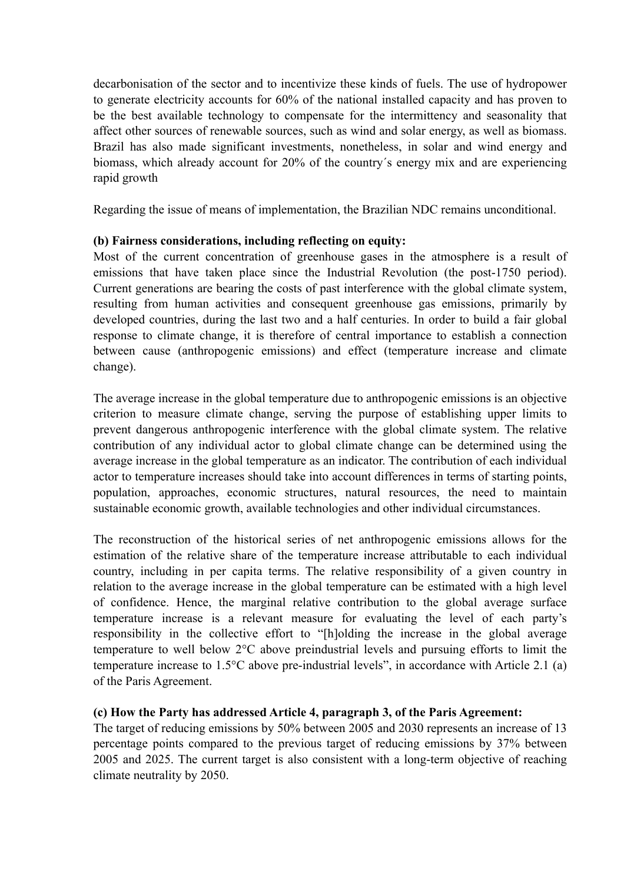decarbonisation of the sector and to incentivize these kinds of fuels. The use of hydropower to generate electricity accounts for 60% of the national installed capacity and has proven to be the best available technology to compensate for the intermittency and seasonality that affect other sources of renewable sources, such as wind and solar energy, as well as biomass. Brazil has also made significant investments, nonetheless, in solar and wind energy and biomass, which already account for 20% of the country´s energy mix and are experiencing rapid growth

Regarding the issue of means of implementation, the Brazilian NDC remains unconditional.

### **(b) Fairness considerations, including reflecting on equity:**

Most of the current concentration of greenhouse gases in the atmosphere is a result of emissions that have taken place since the Industrial Revolution (the post-1750 period). Current generations are bearing the costs of past interference with the global climate system, resulting from human activities and consequent greenhouse gas emissions, primarily by developed countries, during the last two and a half centuries. In order to build a fair global response to climate change, it is therefore of central importance to establish a connection between cause (anthropogenic emissions) and effect (temperature increase and climate change).

The average increase in the global temperature due to anthropogenic emissions is an objective criterion to measure climate change, serving the purpose of establishing upper limits to prevent dangerous anthropogenic interference with the global climate system. The relative contribution of any individual actor to global climate change can be determined using the average increase in the global temperature as an indicator. The contribution of each individual actor to temperature increases should take into account differences in terms of starting points, population, approaches, economic structures, natural resources, the need to maintain sustainable economic growth, available technologies and other individual circumstances.

The reconstruction of the historical series of net anthropogenic emissions allows for the estimation of the relative share of the temperature increase attributable to each individual country, including in per capita terms. The relative responsibility of a given country in relation to the average increase in the global temperature can be estimated with a high level of confidence. Hence, the marginal relative contribution to the global average surface temperature increase is a relevant measure for evaluating the level of each party's responsibility in the collective effort to "[h]olding the increase in the global average temperature to well below 2°C above preindustrial levels and pursuing efforts to limit the temperature increase to 1.5°C above pre-industrial levels", in accordance with Article 2.1 (a) of the Paris Agreement.

### **(c) How the Party has addressed Article 4, paragraph 3, of the Paris Agreement:**

The target of reducing emissions by 50% between 2005 and 2030 represents an increase of 13 percentage points compared to the previous target of reducing emissions by 37% between 2005 and 2025. The current target is also consistent with a long-term objective of reaching climate neutrality by 2050.